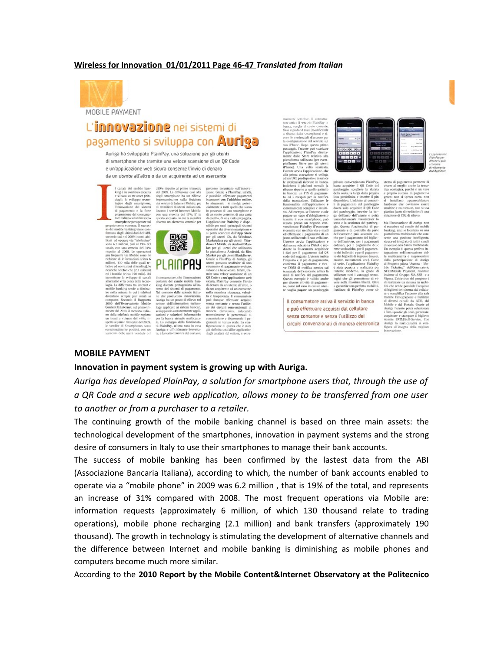## **Wireless for Innovation 01/01/2011 Page 46-47** *Translated from Italian*



MOBILE PAYMENT

## L'**innovazione** nei sistemi di pagamento si sviluppa con **AUFIR**a

Auriga ha sviluppato PlainPay, una soluzione per gli utenti di smartphone che tramite una veloce scansione di un QR Code e un'applicazione web sicura consente l'invio di denaro da un utente all'altro o da un acquirente ad un esercente

l canade del mobile ban-<br>king è in continua crescita<br>e si basa su tre asset prim-<br>ciapli: lo sviluppo tecno-<br>logico degli smartphone.<br>l'innovazione dei sistemi 210% rispetto al primo trimestre<br>del 2009, La diffusione così alta<br>degli smartphone ha un riflesso<br>importantissimo sulla fruizione<br>dei servizi di Internet Mobile: più<br>di 10 milioni di utenti italiani utismattphone per partar sul<br>control control succession of model tanking view control and the<br>distribution of all distribution of all distribution<br>for a smatter and a substant of the smatter of the scalar<br>form of a section o perazioni di trading), te<br>elefoniche (2,1 milioni)<br>ci (circa 190 mila). Ad<br>: lo sviluppo di canali<br>c' lo sono dello tesmo il Rapporto<br>orio Mobile no italia





fiventa protagonista all'in-<br>dei sistemi di pagamento<br>intesto delle aziende italiadella funzio

si potrà scaricare dall'App<br>per gli utenti iOs, da Win rketplace per gli utenti - Wir<br>ws 7 Mobile, da Android Ma

percorso incernato sua innova-<br>zione, Grazie a PlainPay, infatti,<br>è possibile effettuare pagamenti<br>istantanei con l'addebito online,<br>lo strumento si rivolge poten-

 $\alpha$ . Int naro da un utente all'al<br>h acquirente ad un eser<br>massima sicurezza, vi riduc annu<br>allah ovumxam<br>shorsel e-ri può scaricare<br>(Pay diretta-<br>relativo alla gli ore per ne si co a quello pattuito<br>PIN di pagamen-<br>ti per la notifica per la notifica<br>, Utilizzare le<br>applicazione è nsazione, conizzare<br>lità dell'applicazione<br>rente semplice e intuit

dispositivo. L'ac<br>di di pagamenti<br>dovrà solo acqu semplice e i<br>0, se l'utente<br>10 d'abbiglia del parcheggio, inserio<br>ga dell'auto dell'utente<br>immediatamente visual immediatamente v<br>stato e la scadenza<br>gio. Questa funzio<br>giomento e di conti<br>dell'esercente può ato PlainPay (l'esc isito con notifica via e-m<br>ffettuare il pagamento di<br>s utilizzando il suo cellul: ell'esercente può avvenin<br>se per il pagamento del bi<br>» dell'autobus, per i paga<br>dinari, per il pagamento<br>tte scolastiche, per il paga nte avvia l'applicazione e<br>nena seleziona PAGA e me-<br>te la fotocamera acquisisce fotocamera acquisisce<br>
il pagamento dal QR<br>segozio. L'utente indica<br>e il pin di pagamento, dei bollettini e per<br>dei biglietti di ing venterma u pagamento e rico<br>e l'SMS di notifica mentre si<br>erminale dell'escreente arriva<br>sail di notifica del nazamenti stata pen<br>utente mo ra del pagamento.<br>io è valido anche logici che gli permettono di vi-<br>vere nella massima libertà. Oltre e vanoo anco<br>rità di pagamen<br>o in cui un uten l'utilizzo di Pl

Il consumatore attiva il servizio in banca e può effettuare acquisti dal cellulare senza contante e senza l'utilizzo dei circuiti convenzionali di moneta elettronica

privato convenzionato PlainPay,<br>basta acquisire il QR Code del<br>parcheggio, scegliere la durata<br>della sosta, la targa dalla propria<br>lista predefinita e inserire il pin<br>dionositivo, l'addetto ai costrol.

e. l'applicaz

redetinista e insente il più<br>tivo. L'addetto ai control-<br>agamento del parcheggio<br>solo acquisire il QR Code

l'utente e po

del bigliet

realizzata per<br>in grado di

inPay come si

viewe at megan antare at the proprio sistema di pagam<br>green: non si spreca carta,<br>si installano apparecchi<br>hardware che dovranno e<br>construction and plastica ( te di en

Ma l'innovazione esaurisce sul canale<br>nking, anzi si focaliz grata di me ar urupp<br>ra. L'obiettivo i del ile e dal Portale. Graz Auriga l'utente potrà selezio<br>i film, i posti e gli orari, preno<br>actualstate e stammare il biol uistare e stampare<br>nite TATM/Self-Se<br>tiga la multicanali<br>ra all'insegna dell

## **MOBILE PAYMENT**

## **Innovation in payment system is growing up with Auriga.**

*Auriga has developed PlainPay, a solution for smartphone users that, through the use of a QR Code and a secure web application, allows money to be transferred from one user to another or from a purchaser to a retailer.* 

The continuing growth of the mobile banking channel is based on three main assets: the technological development of the smartphones, innovation in payment systems and the strong desire of consumers in Italy to use their smartphones to manage their bank accounts.

The success of mobile banking has been confirmed by the lastest data from the ABI (Associazione Bancaria Italiana), according to which, the number of bank accounts enabled to operate via a "mobile phone" in 2009 was 6.2 million , that is 19% of the total, and represents an increase of 31% compared with 2008. The most frequent operations via Mobile are: information requests (approximately 6 million, of which 130 thousand relate to trading operations), mobile phone recharging (2.1 million) and bank transfers (approximately 190 thousand). The growth in technology is stimulating the development of alternative channels and the difference between Internet and mobile banking is diminishing as mobile phones and computers become much more similar.

According to the **2010 Report by the Mobile Content&Internet Observatory at the Politecnico**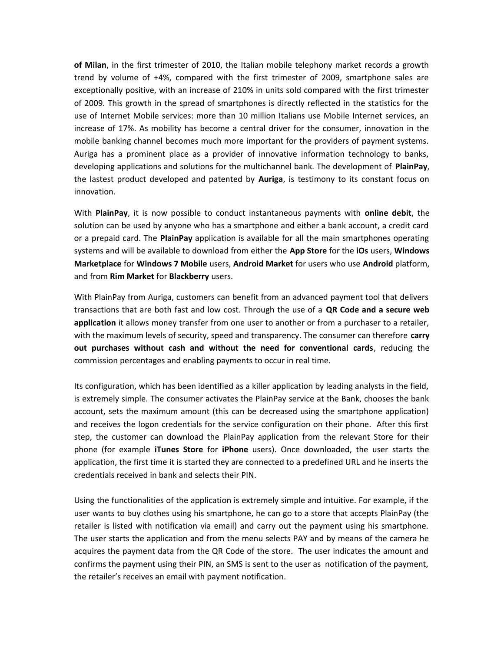**of Milan**, in the first trimester of 2010, the Italian mobile telephony market records a growth trend by volume of +4%, compared with the first trimester of 2009, smartphone sales are exceptionally positive, with an increase of 210% in units sold compared with the first trimester of 2009. This growth in the spread of smartphones is directly reflected in the statistics for the use of Internet Mobile services: more than 10 million Italians use Mobile Internet services, an increase of 17%. As mobility has become a central driver for the consumer, innovation in the mobile banking channel becomes much more important for the providers of payment systems. Auriga has a prominent place as a provider of innovative information technology to banks, developing applications and solutions for the multichannel bank. The development of **PlainPay**, the lastest product developed and patented by **Auriga**, is testimony to its constant focus on innovation.

With **PlainPay**, it is now possible to conduct instantaneous payments with **online debit**, the solution can be used by anyone who has a smartphone and either a bank account, a credit card or a prepaid card. The **PlainPay** application is available for all the main smartphones operating systems and will be available to download from either the **App Store** for the **iOs** users, **Windows Marketplace** for **Windows 7 Mobile** users, **Android Market** for users who use **Android** platform, and from **Rim Market** for **Blackberry** users.

With PlainPay from Auriga, customers can benefit from an advanced payment tool that delivers transactions that are both fast and low cost. Through the use of a **QR Code and a secure web application** it allows money transfer from one user to another or from a purchaser to a retailer, with the maximum levels of security, speed and transparency. The consumer can therefore **carry out purchases without cash and without the need for conventional cards**, reducing the commission percentages and enabling payments to occur in real time.

Its configuration, which has been identified as a killer application by leading analysts in the field, is extremely simple. The consumer activates the PlainPay service at the Bank, chooses the bank account, sets the maximum amount (this can be decreased using the smartphone application) and receives the logon credentials for the service configuration on their phone. After this first step, the customer can download the PlainPay application from the relevant Store for their phone (for example **iTunes Store** for **iPhone** users). Once downloaded, the user starts the application, the first time it is started they are connected to a predefined URL and he inserts the credentials received in bank and selects their PIN.

Using the functionalities of the application is extremely simple and intuitive. For example, if the user wants to buy clothes using his smartphone, he can go to a store that accepts PlainPay (the retailer is listed with notification via email) and carry out the payment using his smartphone. The user starts the application and from the menu selects PAY and by means of the camera he acquires the payment data from the QR Code of the store. The user indicates the amount and confirms the payment using their PIN, an SMS is sent to the user as notification of the payment, the retailer's receives an email with payment notification.